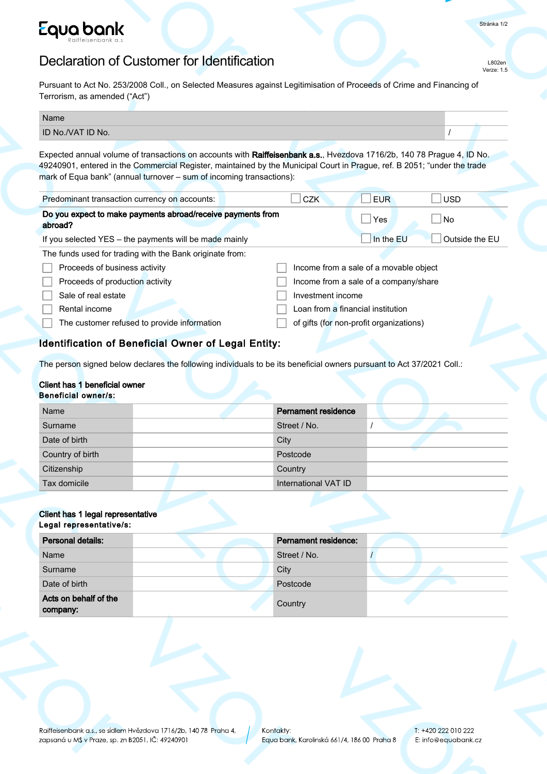

# Declaration of Customer for Identification

Stránka 1/2

L802en Verze: 1.5

Pursuant to Act No. 253/2008 Coll., on Selected Measures against Legitimisation of Proceeds of Crime and Financing of Terrorism, as amended ("Act")

| Name              |  |
|-------------------|--|
| ID No./VAT ID No. |  |

Expected annual volume of transactions on accounts with Raiffeisenbank a.s., Hvezdova 1716/2b, 140 78 Prague 4, ID No. 49240901, entered in the Commercial Register, maintained by the Municipal Court in Prague, ref. B 2051; "under the trade mark of Equa bank" (annual turnover – sum of incoming transactions):

| Predominant transaction currency on accounts:                          | <b>CZK</b>        | <b>EUR</b>                              | <b>USD</b>     |
|------------------------------------------------------------------------|-------------------|-----------------------------------------|----------------|
| Do you expect to make payments abroad/receive payments from<br>abroad? |                   | Yes                                     | ∣No            |
| If you selected YES - the payments will be made mainly                 |                   | In the EU                               | Outside the EU |
| The funds used for trading with the Bank originate from:               |                   |                                         |                |
| Proceeds of business activity                                          |                   | Income from a sale of a movable object  |                |
| Proceeds of production activity                                        |                   | Income from a sale of a company/share   |                |
| Sale of real estate                                                    | Investment income |                                         |                |
| Rental income                                                          |                   | Loan from a financial institution       |                |
| The customer refused to provide information                            |                   | of gifts (for non-profit organizations) |                |

# Identification of Beneficial Owner of Legal Entity:

The person signed below declares the following individuals to be its beneficial owners pursuant to Act 37/2021 Coll.:

#### Client has 1 beneficial owner Beneficial owner/s:

| Name             | <b>Pernament residence</b> |
|------------------|----------------------------|
| Surname          | Street / No.               |
| Date of birth    | City                       |
| Country of birth | Postcode                   |
| Citizenship      | Country                    |
| Tax domicile     | International VAT ID       |

#### Client has 1 legal representative Legal representative/s:

| Personal details:                 | <b>Pernament residence:</b> |
|-----------------------------------|-----------------------------|
| Name                              | Street / No.                |
| Surname                           | City                        |
| Date of birth                     | Postcode                    |
| Acts on behalf of the<br>company: | Country                     |

Raiffeisenbank a.s., se sídlem Hvězdova 1716/2b, 140 78 Praha 4, zapsaná u MS v Praze, sp. zn B2051, IČ: 49240901

T: +420 222 010 222 E: info@equabank.cz